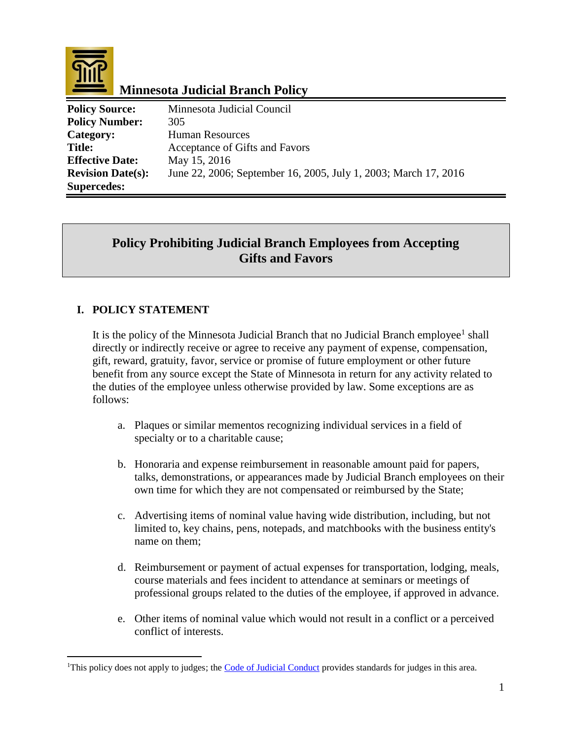

 $\overline{a}$ 

## **Minnesota Judicial Branch Policy**

| <b>Policy Source:</b>    | Minnesota Judicial Council                                      |
|--------------------------|-----------------------------------------------------------------|
| <b>Policy Number:</b>    | 305                                                             |
| Category:                | <b>Human Resources</b>                                          |
| <b>Title:</b>            | Acceptance of Gifts and Favors                                  |
| <b>Effective Date:</b>   | May 15, 2016                                                    |
| <b>Revision Date(s):</b> | June 22, 2006; September 16, 2005, July 1, 2003; March 17, 2016 |
| <b>Supercedes:</b>       |                                                                 |

# **Policy Prohibiting Judicial Branch Employees from Accepting Gifts and Favors**

### **I. POLICY STATEMENT**

It is the policy of the Minnesota Judicial Branch that no Judicial Branch employee<sup>1</sup> shall directly or indirectly receive or agree to receive any payment of expense, compensation, gift, reward, gratuity, favor, service or promise of future employment or other future benefit from any source except the State of Minnesota in return for any activity related to the duties of the employee unless otherwise provided by law. Some exceptions are as follows:

- a. Plaques or similar mementos recognizing individual services in a field of specialty or to a charitable cause;
- b. Honoraria and expense reimbursement in reasonable amount paid for papers, talks, demonstrations, or appearances made by Judicial Branch employees on their own time for which they are not compensated or reimbursed by the State;
- c. Advertising items of nominal value having wide distribution, including, but not limited to, key chains, pens, notepads, and matchbooks with the business entity's name on them;
- d. Reimbursement or payment of actual expenses for transportation, lodging, meals, course materials and fees incident to attendance at seminars or meetings of professional groups related to the duties of the employee, if approved in advance.
- e. Other items of nominal value which would not result in a conflict or a perceived conflict of interests.

<sup>&</sup>lt;sup>1</sup>This policy does not apply to judges; the [Code of Judicial Conduct](http://www.bjs.state.mn.us/canon2.html) provides standards for judges in this area.